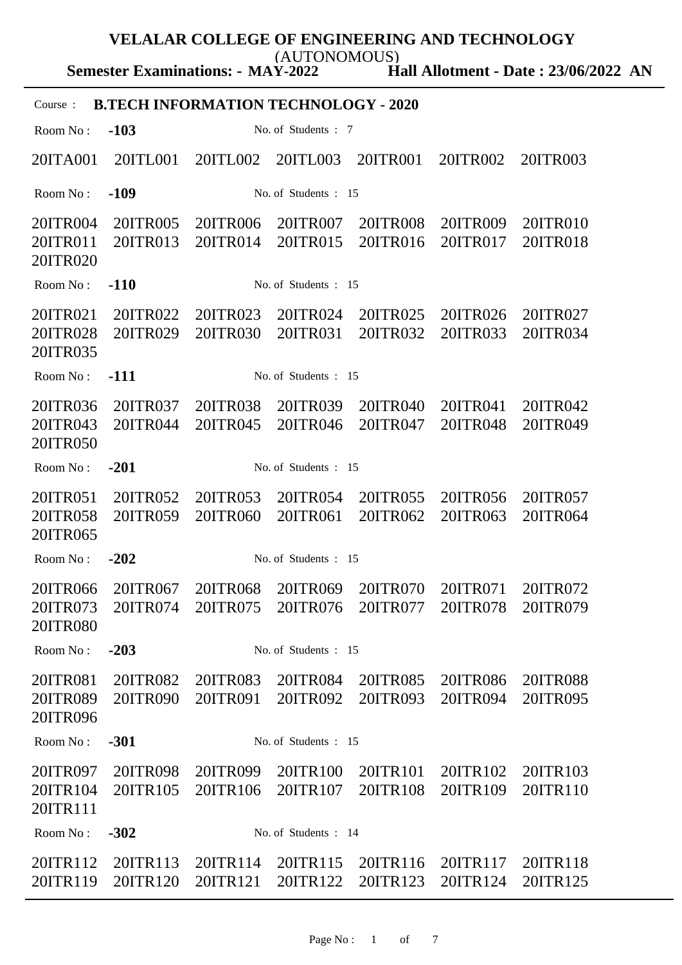**Semester Examinations: - MAY-2022** (AUTONOMOUS)

**Hall Allotment - Date : 23/06/2022 AN**

| <b>B.TECH INFORMATION TECHNOLOGY - 2020</b><br>Course: |                      |                      |                               |                                                                   |                      |                      |
|--------------------------------------------------------|----------------------|----------------------|-------------------------------|-------------------------------------------------------------------|----------------------|----------------------|
| Room No:                                               | $-103$               |                      | No. of Students: 7            |                                                                   |                      |                      |
| 20ITA001                                               | 20ITL001             | 20ITL002             | 20ITL003                      | 20ITR001                                                          | 20ITR002             | 20ITR003             |
| Room No:                                               | $-109$               |                      | No. of Students: 15           |                                                                   |                      |                      |
| 20ITR004<br>20ITR011<br>20ITR020                       | 20ITR005<br>20ITR013 | 20ITR006<br>20ITR014 | 20ITR007<br>20ITR015          | 20ITR008<br>20ITR016                                              | 20ITR009<br>20ITR017 | 20ITR010<br>20ITR018 |
| Room No:                                               | $-110$               |                      | No. of Students : 15          |                                                                   |                      |                      |
| 20ITR021<br>20ITR028<br>20ITR035                       | 20ITR022<br>20ITR029 | 20ITR023<br>20ITR030 | 20ITR024<br>20ITR031          | 20ITR025<br>20ITR032                                              | 20ITR026<br>20ITR033 | 20ITR027<br>20ITR034 |
| Room No:                                               | $-111$               |                      | No. of Students: 15           |                                                                   |                      |                      |
| 20ITR036<br>20ITR043<br>20ITR050                       | 20ITR037<br>20ITR044 | 20ITR038<br>20ITR045 | 20ITR039<br>20ITR046          | 20ITR040<br>20ITR047                                              | 20ITR041<br>20ITR048 | 20ITR042<br>20ITR049 |
| Room No:                                               | $-201$               |                      | No. of Students: 15           |                                                                   |                      |                      |
| 20ITR051<br>20ITR058<br>20ITR065                       | 20ITR052<br>20ITR059 | 20ITR053<br>20ITR060 | 20ITR054<br>20ITR061          | 20ITR055<br>20ITR062                                              | 20ITR056<br>20ITR063 | 20ITR057<br>20ITR064 |
| Room No:                                               | $-202$               |                      | No. of Students: 15           |                                                                   |                      |                      |
| 20ITR066<br>20ITR073<br>20ITR080                       | 20ITR067             | 20ITR068             | 20ITR069                      | 20ITR070<br>20ITR074 20ITR075 20ITR076 20ITR077 20ITR078 20ITR079 | 20ITR071             | 20ITR072             |
| Room No:                                               | $-203$               |                      | No. of Students : 15          |                                                                   |                      |                      |
| 20ITR081<br>20ITR089<br>20ITR096                       | 20ITR082<br>20ITR090 | 20ITR083<br>20ITR091 | 20ITR084<br>20ITR092          | 20ITR085<br>20ITR093                                              | 20ITR086<br>20ITR094 | 20ITR088<br>20ITR095 |
| Room No:                                               | $-301$               |                      | No. of Students: 15           |                                                                   |                      |                      |
| 20ITR097<br>20ITR104<br>20ITR111                       | 20ITR098<br>20ITR105 | 20ITR106             | 20ITR099 20ITR100<br>20ITR107 | 20ITR101<br>20ITR108                                              | 20ITR102<br>20ITR109 | 20ITR103<br>20ITR110 |
| Room No:                                               | $-302$               |                      | No. of Students: 14           |                                                                   |                      |                      |
| 20ITR112<br>20ITR119                                   | 20ITR113<br>20ITR120 | 20ITR114<br>20ITR121 | 20ITR115<br>20ITR122          | 20ITR116<br>20ITR123                                              | 20ITR117<br>20ITR124 | 20ITR118<br>20ITR125 |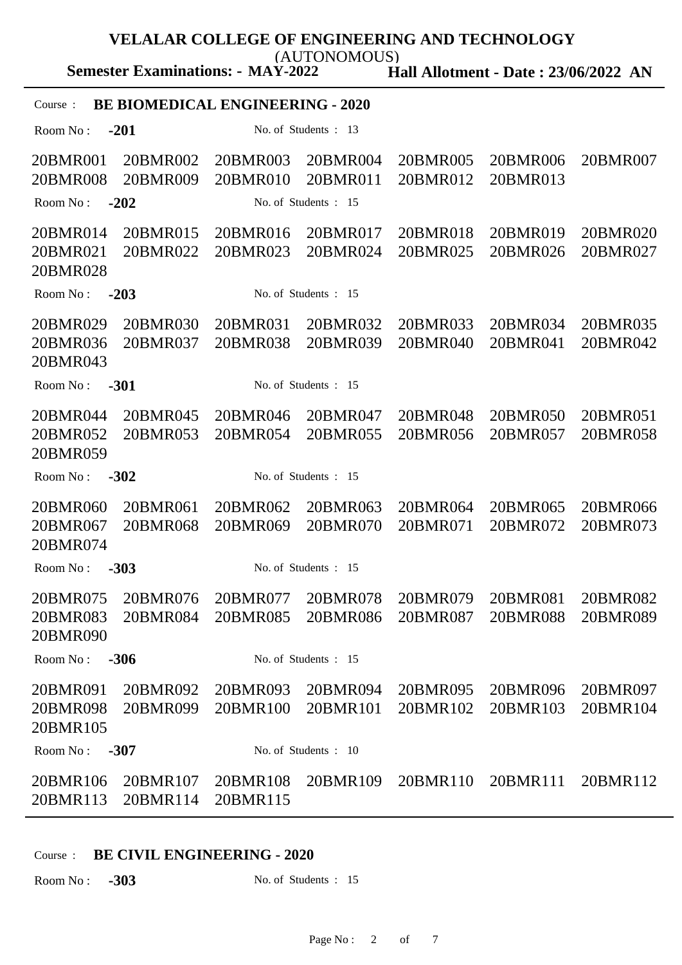(AUTONOMOUS)

**Semester Examinations: - MAY-2022**

**Hall Allotment - Date : 23/06/2022 AN**

### Course : **BE BIOMEDICAL ENGINEERING - 2020**

Room No : **-201** No. of Students : 13 20BMR001 20BMR002 20BMR003 20BMR004 20BMR005 20BMR006 20BMR007 20BMR008 20BMR009 20BMR010 20BMR011 20BMR012 20BMR013 Room No : **-202** No. of Students : 15 20BMR014 20BMR015 20BMR016 20BMR017 20BMR018 20BMR019 20BMR020 20BMR021 20BMR022 20BMR023 20BMR024 20BMR025 20BMR026 20BMR027 20BMR028 Room No : **-203** No. of Students : 15 20BMR029 20BMR030 20BMR031 20BMR032 20BMR033 20BMR034 20BMR035 20BMR036 20BMR037 20BMR038 20BMR039 20BMR040 20BMR041 20BMR042 20BMR043 Room No : **-301** No. of Students : 15 20BMR044 20BMR045 20BMR046 20BMR047 20BMR048 20BMR050 20BMR051 20BMR052 20BMR053 20BMR054 20BMR055 20BMR056 20BMR057 20BMR058 20BMR059 Room No : **-302** No. of Students : 15 20BMR060 20BMR061 20BMR062 20BMR063 20BMR064 20BMR065 20BMR066 20BMR067 20BMR068 20BMR069 20BMR070 20BMR071 20BMR072 20BMR073 20BMR074 Room No : **-303** No. of Students : 15 20BMR075 20BMR076 20BMR077 20BMR078 20BMR079 20BMR081 20BMR082 20BMR083 20BMR084 20BMR085 20BMR086 20BMR087 20BMR088 20BMR089 20BMR090 Room No : **-306** No. of Students : 15 20BMR091 20BMR092 20BMR093 20BMR094 20BMR095 20BMR096 20BMR097 20BMR098 20BMR099 20BMR100 20BMR101 20BMR102 20BMR103 20BMR104 20BMR105 Room No : **-307** No. of Students : 10 20BMR106 20BMR107 20BMR108 20BMR109 20BMR110 20BMR111 20BMR112 20BMR113 20BMR114 20BMR115

### Course : **BE CIVIL ENGINEERING - 2020**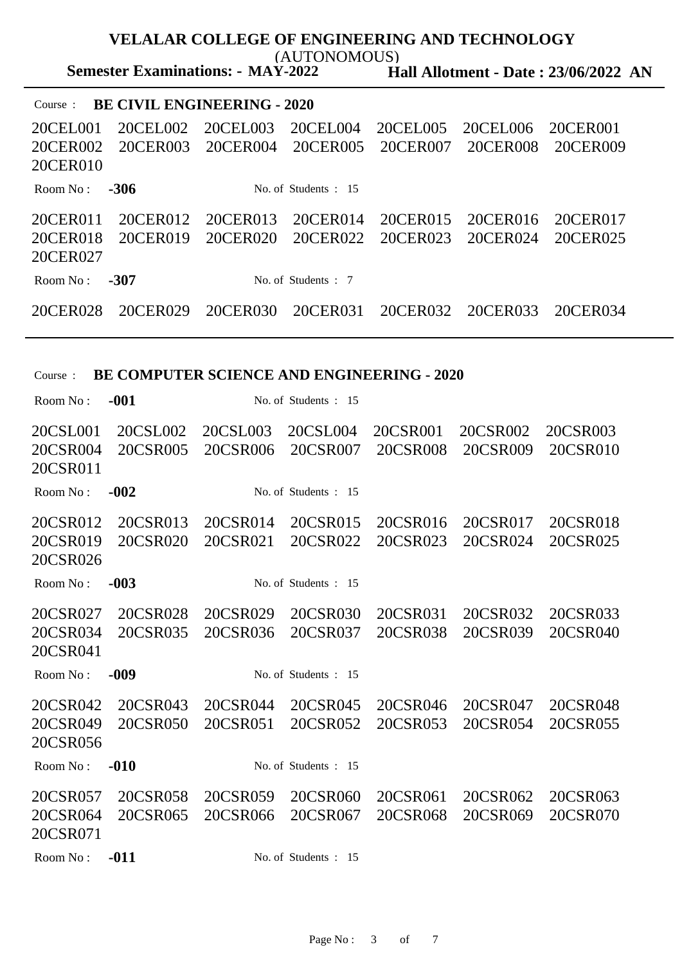**Semester Examinations: - MAY-2022** (AUTONOMOUS)

**Hall Allotment - Date : 23/06/2022 AN**

| <b>BE CIVIL ENGINEERING - 2020</b><br>Course: |          |          |                        |          |          |          |  |
|-----------------------------------------------|----------|----------|------------------------|----------|----------|----------|--|
| 20CEL001                                      | 20CEL002 | 20CEL003 | 20CEL004               | 20CEL005 | 20CEL006 | 20CER001 |  |
| 20CER002                                      | 20CER003 | 20CER004 | 20CER005               | 20CER007 | 20CER008 | 20CER009 |  |
| 20CER010                                      |          |          |                        |          |          |          |  |
| Room $No:$                                    | $-306$   |          | No. of Students $: 15$ |          |          |          |  |
| 20CER011                                      | 20CER012 | 20CER013 | 20CER014               | 20CER015 | 20CER016 | 20CER017 |  |
| 20CER018                                      | 20CER019 | 20CER020 | 20CER022               | 20CER023 | 20CER024 | 20CER025 |  |
| 20CER027                                      |          |          |                        |          |          |          |  |
| Room $No:$                                    | $-307$   |          | No. of Students: 7     |          |          |          |  |
| 20CER028                                      | 20CER029 | 20CER030 | 20CER031               | 20CER032 | 20CER033 | 20CER034 |  |

## Course : **BE COMPUTER SCIENCE AND ENGINEERING - 2020**

| Room No:                         | $-001$               |                      | No. of Students : 15 |                      |                      |                      |
|----------------------------------|----------------------|----------------------|----------------------|----------------------|----------------------|----------------------|
| 20CSL001<br>20CSR004<br>20CSR011 | 20CSL002<br>20CSR005 | 20CSL003<br>20CSR006 | 20CSL004<br>20CSR007 | 20CSR001<br>20CSR008 | 20CSR002<br>20CSR009 | 20CSR003<br>20CSR010 |
| Room No:                         | $-002$               |                      | No. of Students : 15 |                      |                      |                      |
| 20CSR012<br>20CSR019<br>20CSR026 | 20CSR013<br>20CSR020 | 20CSR014<br>20CSR021 | 20CSR015<br>20CSR022 | 20CSR016<br>20CSR023 | 20CSR017<br>20CSR024 | 20CSR018<br>20CSR025 |
| Room No:                         | $-003$               |                      | No. of Students : 15 |                      |                      |                      |
| 20CSR027<br>20CSR034<br>20CSR041 | 20CSR028<br>20CSR035 | 20CSR029<br>20CSR036 | 20CSR030<br>20CSR037 | 20CSR031<br>20CSR038 | 20CSR032<br>20CSR039 | 20CSR033<br>20CSR040 |
| Room No:                         | $-009$               |                      | No. of Students : 15 |                      |                      |                      |
| 20CSR042<br>20CSR049<br>20CSR056 | 20CSR043<br>20CSR050 | 20CSR044<br>20CSR051 | 20CSR045<br>20CSR052 | 20CSR046<br>20CSR053 | 20CSR047<br>20CSR054 | 20CSR048<br>20CSR055 |
| Room No:                         | $-010$               |                      | No. of Students : 15 |                      |                      |                      |
| 20CSR057<br>20CSR064<br>20CSR071 | 20CSR058<br>20CSR065 | 20CSR059<br>20CSR066 | 20CSR060<br>20CSR067 | 20CSR061<br>20CSR068 | 20CSR062<br>20CSR069 | 20CSR063<br>20CSR070 |
| Room No:                         | $-011$               |                      | No. of Students : 15 |                      |                      |                      |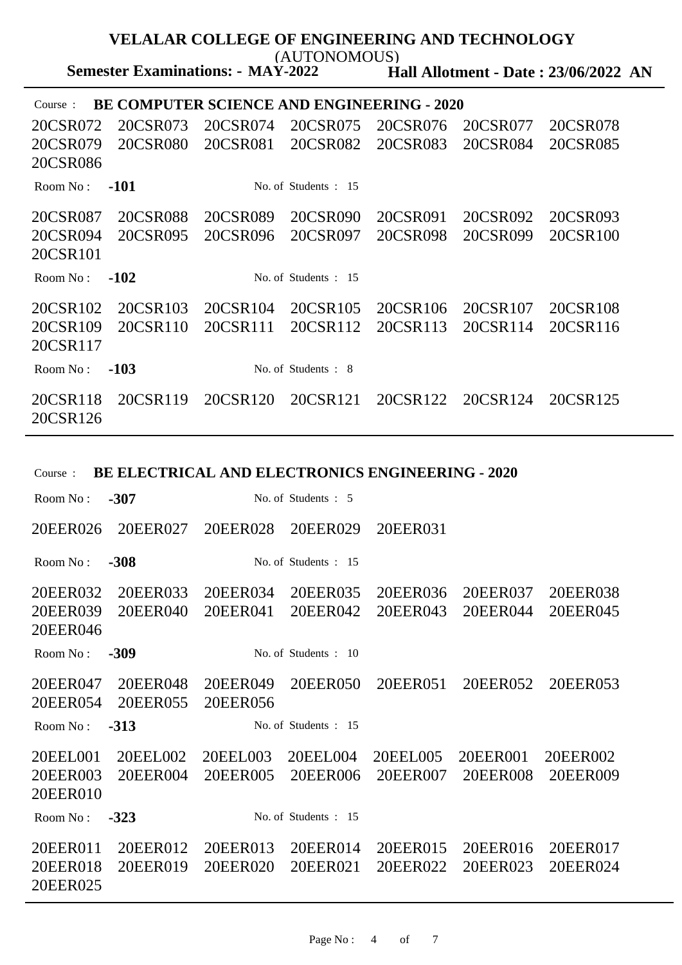**Semester Examinations: - MAY-2022** (AUTONOMOUS)

**Hall Allotment - Date : 23/06/2022 AN**

| <b>BE COMPUTER SCIENCE AND ENGINEERING - 2020</b><br>Course: |          |          |                      |          |          |          |  |
|--------------------------------------------------------------|----------|----------|----------------------|----------|----------|----------|--|
| 20CSR072                                                     | 20CSR073 | 20CSR074 | 20CSR075             | 20CSR076 | 20CSR077 | 20CSR078 |  |
| 20CSR079                                                     | 20CSR080 | 20CSR081 | 20CSR082             | 20CSR083 | 20CSR084 | 20CSR085 |  |
| 20CSR086                                                     |          |          |                      |          |          |          |  |
| Room No:                                                     | $-101$   |          | No. of Students : 15 |          |          |          |  |
| 20CSR087                                                     | 20CSR088 | 20CSR089 | 20CSR090             | 20CSR091 | 20CSR092 | 20CSR093 |  |
| 20CSR094                                                     | 20CSR095 | 20CSR096 | 20CSR097             | 20CSR098 | 20CSR099 | 20CSR100 |  |
| 20CSR101                                                     |          |          |                      |          |          |          |  |
| Room No:                                                     | $-102$   |          | No. of Students : 15 |          |          |          |  |
| 20CSR102                                                     | 20CSR103 | 20CSR104 | 20CSR105             | 20CSR106 | 20CSR107 | 20CSR108 |  |
| 20CSR109                                                     | 20CSR110 | 20CSR111 | 20CSR112             | 20CSR113 | 20CSR114 | 20CSR116 |  |
| 20CSR117                                                     |          |          |                      |          |          |          |  |
| Room No:                                                     | $-103$   |          | No. of Students : 8  |          |          |          |  |
| 20CSR118<br>20CSR126                                         | 20CSR119 | 20CSR120 | 20CSR121             | 20CSR122 | 20CSR124 | 20CSR125 |  |

| <b>BE ELECTRICAL AND ELECTRONICS ENGINEERING - 2020</b><br>Course: |                      |                      |                      |                      |                      |                      |  |
|--------------------------------------------------------------------|----------------------|----------------------|----------------------|----------------------|----------------------|----------------------|--|
| Room No:                                                           | $-307$               |                      | No. of Students : 5  |                      |                      |                      |  |
| 20EER026                                                           | 20EER027             | 20EER028             | 20EER029             | 20EER031             |                      |                      |  |
| Room No:                                                           | $-308$               |                      | No. of Students : 15 |                      |                      |                      |  |
| 20EER032<br>20EER039<br>20EER046                                   | 20EER033<br>20EER040 | 20EER034<br>20EER041 | 20EER035<br>20EER042 | 20EER036<br>20EER043 | 20EER037<br>20EER044 | 20EER038<br>20EER045 |  |
| Room No:                                                           | $-309$               |                      | No. of Students: 10  |                      |                      |                      |  |
| 20EER047<br>20EER054                                               | 20EER048<br>20EER055 | 20EER049<br>20EER056 | 20EER050             | 20EER051             | 20EER052             | 20EER053             |  |
| Room No:                                                           | $-313$               |                      | No. of Students: 15  |                      |                      |                      |  |
| 20EEL001<br>20EER003<br>20EER010                                   | 20EEL002<br>20EER004 | 20EEL003<br>20EER005 | 20EEL004<br>20EER006 | 20EEL005<br>20EER007 | 20EER001<br>20EER008 | 20EER002<br>20EER009 |  |
| Room No:                                                           | $-323$               |                      | No. of Students : 15 |                      |                      |                      |  |
| 20EER011<br>20EER018<br>20EER025                                   | 20EER012<br>20EER019 | 20EER013<br>20EER020 | 20EER014<br>20EER021 | 20EER015<br>20EER022 | 20EER016<br>20EER023 | 20EER017<br>20EER024 |  |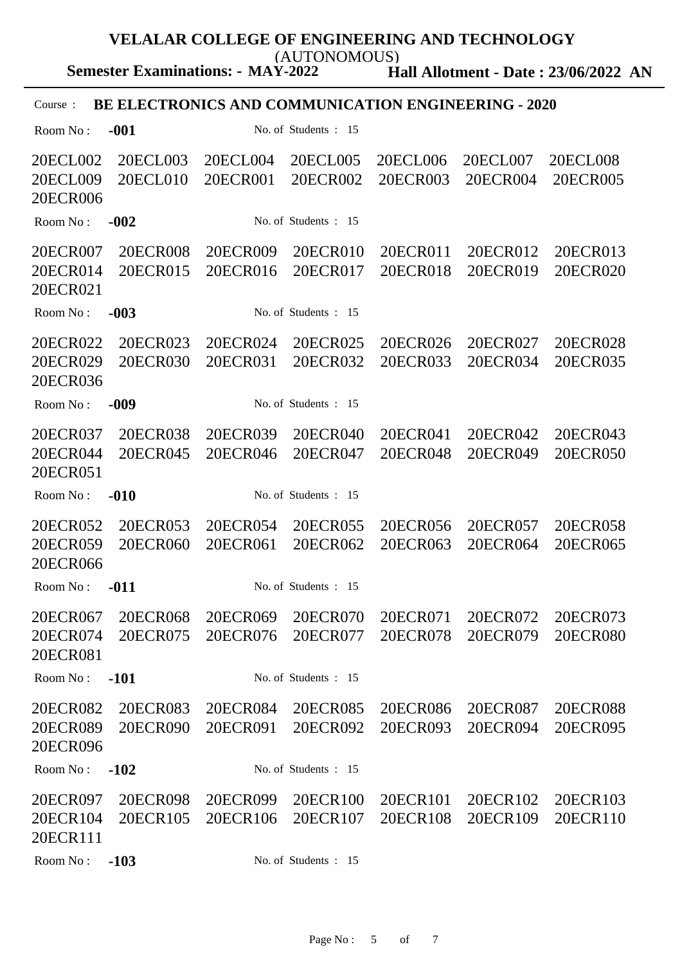**Semester Examinations: - MAY-2022** (AUTONOMOUS)

**Hall Allotment - Date : 23/06/2022 AN**

# Course : **BE ELECTRONICS AND COMMUNICATION ENGINEERING - 2020**

| Room No:                         | $-001$               |                               | No. of Students : 15 |                      |                      |                             |
|----------------------------------|----------------------|-------------------------------|----------------------|----------------------|----------------------|-----------------------------|
| 20ECL002<br>20ECL009<br>20ECR006 | 20ECL003<br>20ECL010 | 20ECL004<br>20ECR001          | 20ECL005<br>20ECR002 | 20ECL006<br>20ECR003 | 20ECL007<br>20ECR004 | <b>20ECL008</b><br>20ECR005 |
| Room No:                         | $-002$               |                               | No. of Students : 15 |                      |                      |                             |
| 20ECR007<br>20ECR014<br>20ECR021 | 20ECR008<br>20ECR015 | 20ECR009<br>20ECR016          | 20ECR010<br>20ECR017 | 20ECR011<br>20ECR018 | 20ECR012<br>20ECR019 | 20ECR013<br>20ECR020        |
| Room No:                         | $-003$               |                               | No. of Students: 15  |                      |                      |                             |
| 20ECR022<br>20ECR029<br>20ECR036 | 20ECR023<br>20ECR030 | 20ECR024<br>20ECR031          | 20ECR025<br>20ECR032 | 20ECR026<br>20ECR033 | 20ECR027<br>20ECR034 | 20ECR028<br>20ECR035        |
| Room No:                         | $-009$               |                               | No. of Students: 15  |                      |                      |                             |
| 20ECR037<br>20ECR044<br>20ECR051 | 20ECR038<br>20ECR045 | 20ECR039<br>20ECR046          | 20ECR040<br>20ECR047 | 20ECR041<br>20ECR048 | 20ECR042<br>20ECR049 | 20ECR043<br>20ECR050        |
| Room No:                         | $-010$               |                               | No. of Students: 15  |                      |                      |                             |
| 20ECR052<br>20ECR059<br>20ECR066 | 20ECR053<br>20ECR060 | 20ECR054<br>20ECR061          | 20ECR055<br>20ECR062 | 20ECR056<br>20ECR063 | 20ECR057<br>20ECR064 | 20ECR058<br>20ECR065        |
| Room No:                         | $-011$               |                               | No. of Students: 15  |                      |                      |                             |
| 20ECR067<br>20ECR074<br>20ECR081 | 20ECR068<br>20ECR075 | 20ECR069<br>20ECR076          | 20ECR070<br>20ECR077 | 20ECR071<br>20ECR078 | 20ECR072<br>20ECR079 | 20ECR073<br>20ECR080        |
| Room No:                         | $-101$               |                               | No. of Students : 15 |                      |                      |                             |
| 20ECR082<br>20ECR089<br>20ECR096 | 20ECR083<br>20ECR090 | 20ECR084 20ECR085             | 20ECR091 20ECR092    | 20ECR086<br>20ECR093 | 20ECR087<br>20ECR094 | 20ECR088<br>20ECR095        |
| Room No:                         | $-102$               |                               | No. of Students: 15  |                      |                      |                             |
| 20ECR097<br>20ECR104<br>20ECR111 | 20ECR098<br>20ECR105 | 20ECR099 20ECR100<br>20ECR106 | 20ECR107             | 20ECR101<br>20ECR108 | 20ECR102<br>20ECR109 | 20ECR103<br>20ECR110        |
| Room No:                         | $-103$               |                               | No. of Students: 15  |                      |                      |                             |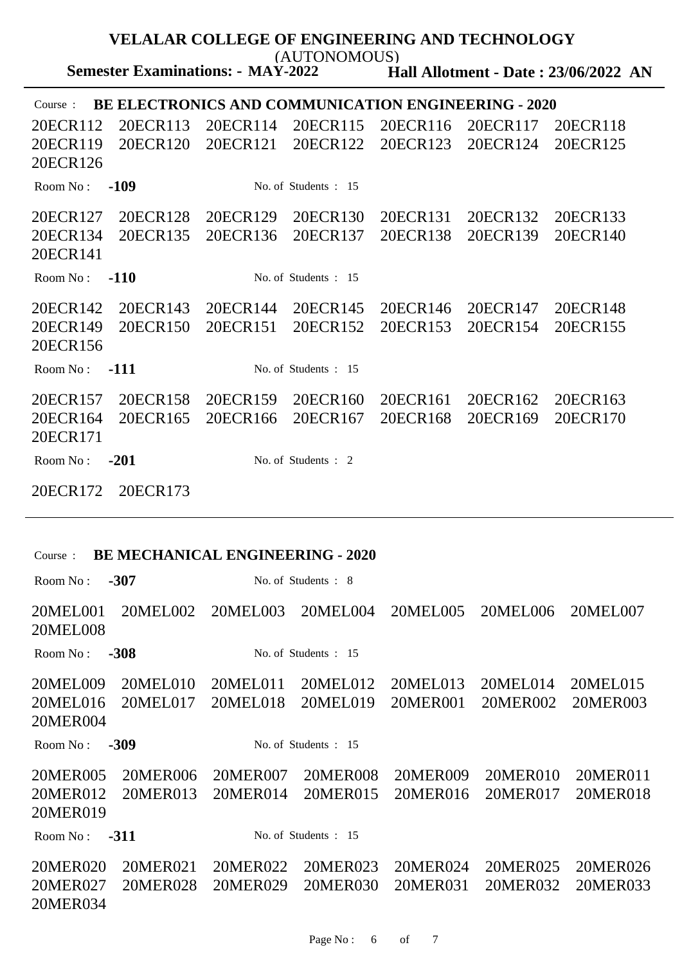**Hall Allotment - Date : 23/06/2022 AN VELALAR COLLEGE OF ENGINEERING AND TECHNOLOGY Semester Examinations: - MAY-2022** (AUTONOMOUS) Course : **BE ELECTRONICS AND COMMUNICATION ENGINEERING - 2020** 20ECR112 20ECR113 20ECR114 20ECR115 20ECR116 20ECR117 20ECR118 20ECR119 20ECR120 20ECR121 20ECR122 20ECR123 20ECR124 20ECR125 20ECR126 Room No : **-109** No. of Students : 15 20ECR127 20ECR128 20ECR129 20ECR130 20ECR131 20ECR132 20ECR133 20ECR134 20ECR135 20ECR136 20ECR137 20ECR138 20ECR139 20ECR140 20ECR141 Room No : **-110** No. of Students : 15 20ECR142 20ECR143 20ECR144 20ECR145 20ECR146 20ECR147 20ECR148 20ECR149 20ECR150 20ECR151 20ECR152 20ECR153 20ECR154 20ECR155 20ECR156 Room No : **-111** No. of Students : 15 20ECR157 20ECR158 20ECR159 20ECR160 20ECR161 20ECR162 20ECR163 20ECR164 20ECR165 20ECR166 20ECR167 20ECR168 20ECR169 20ECR170 20ECR171 Room No : **-201** No. of Students : 2 20ECR172 20ECR173

#### Course : **BE MECHANICAL ENGINEERING - 2020**

Room No : **-307** No. of Students : 8 20MEL001 20MEL002 20MEL003 20MEL004 20MEL005 20MEL006 20MEL007 20MEL008 Room No : **-308** No. of Students : 15 20MEL009 20MEL010 20MEL011 20MEL012 20MEL013 20MEL014 20MEL015 20MEL016 20MEL017 20MEL018 20MEL019 20MER001 20MER002 20MER003 20MER004 Room No : **-309** No. of Students : 15 20MER005 20MER006 20MER007 20MER008 20MER009 20MER010 20MER011 20MER012 20MER013 20MER014 20MER015 20MER016 20MER017 20MER018 20MER019 Room No : **-311** No. of Students : 15 20MER020 20MER021 20MER022 20MER023 20MER024 20MER025 20MER026 20MER027 20MER028 20MER029 20MER030 20MER031 20MER032 20MER033 20MER034

Page  $No: 6$  of 7